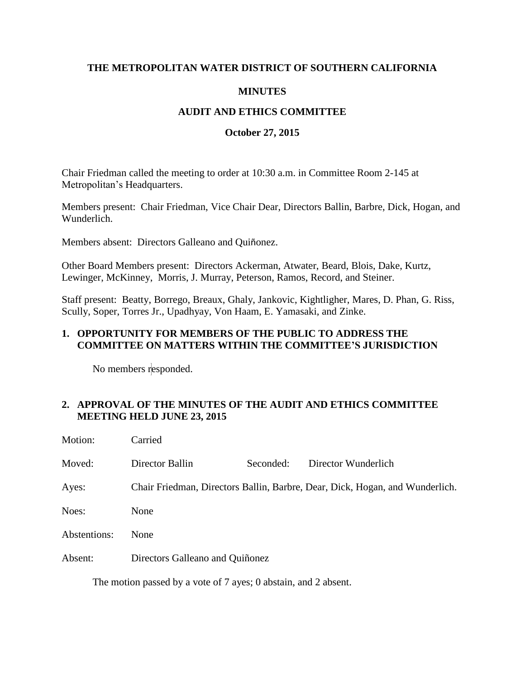## **THE METROPOLITAN WATER DISTRICT OF SOUTHERN CALIFORNIA**

# **MINUTES**

## **AUDIT AND ETHICS COMMITTEE**

### **October 27, 2015**

Chair Friedman called the meeting to order at 10:30 a.m. in Committee Room 2-145 at Metropolitan's Headquarters.

Members present: Chair Friedman, Vice Chair Dear, Directors Ballin, Barbre, Dick, Hogan, and Wunderlich.

Members absent: Directors Galleano and Quiñonez.

Other Board Members present: Directors Ackerman, Atwater, Beard, Blois, Dake, Kurtz, Lewinger, McKinney, Morris, J. Murray, Peterson, Ramos, Record, and Steiner.

Staff present: Beatty, Borrego, Breaux, Ghaly, Jankovic, Kightligher, Mares, D. Phan, G. Riss, Scully, Soper, Torres Jr., Upadhyay, Von Haam, E. Yamasaki, and Zinke.

### **1. OPPORTUNITY FOR MEMBERS OF THE PUBLIC TO ADDRESS THE COMMITTEE ON MATTERS WITHIN THE COMMITTEE'S JURISDICTION**

No members responded.

## **2. APPROVAL OF THE MINUTES OF THE AUDIT AND ETHICS COMMITTEE MEETING HELD JUNE 23, 2015**

| Motion:      | Carried                                                                      |           |                     |  |
|--------------|------------------------------------------------------------------------------|-----------|---------------------|--|
| Moved:       | Director Ballin                                                              | Seconded: | Director Wunderlich |  |
| Ayes:        | Chair Friedman, Directors Ballin, Barbre, Dear, Dick, Hogan, and Wunderlich. |           |                     |  |
| Noes:        | None                                                                         |           |                     |  |
| Abstentions: | None                                                                         |           |                     |  |
| Absent:      | Directors Galleano and Quiñonez                                              |           |                     |  |
|              |                                                                              |           |                     |  |

The motion passed by a vote of 7 ayes; 0 abstain, and 2 absent.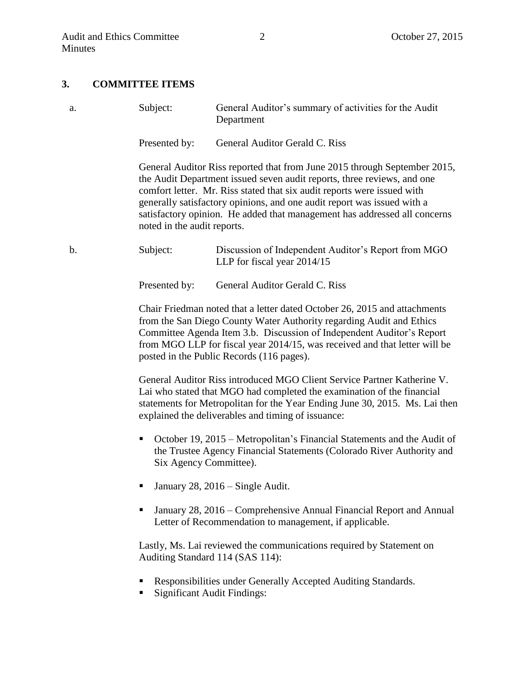#### **3. COMMITTEE ITEMS**

a. Subject: General Auditor's summary of activities for the Audit Department

Presented by: General Auditor Gerald C. Riss

General Auditor Riss reported that from June 2015 through September 2015, the Audit Department issued seven audit reports, three reviews, and one comfort letter. Mr. Riss stated that six audit reports were issued with generally satisfactory opinions, and one audit report was issued with a satisfactory opinion. He added that management has addressed all concerns noted in the audit reports.

b. Subject: Discussion of Independent Auditor's Report from MGO LLP for fiscal year 2014/15

Presented by: General Auditor Gerald C. Riss

Chair Friedman noted that a letter dated October 26, 2015 and attachments from the San Diego County Water Authority regarding Audit and Ethics Committee Agenda Item 3.b. Discussion of Independent Auditor's Report from MGO LLP for fiscal year 2014/15, was received and that letter will be posted in the Public Records (116 pages).

General Auditor Riss introduced MGO Client Service Partner Katherine V. Lai who stated that MGO had completed the examination of the financial statements for Metropolitan for the Year Ending June 30, 2015. Ms. Lai then explained the deliverables and timing of issuance:

- October 19, 2015 Metropolitan's Financial Statements and the Audit of the Trustee Agency Financial Statements (Colorado River Authority and Six Agency Committee).
- January 28, 2016 Single Audit.
- January 28, 2016 Comprehensive Annual Financial Report and Annual Letter of Recommendation to management, if applicable.

Lastly, Ms. Lai reviewed the communications required by Statement on Auditing Standard 114 (SAS 114):

- Responsibilities under Generally Accepted Auditing Standards.
- **Significant Audit Findings:**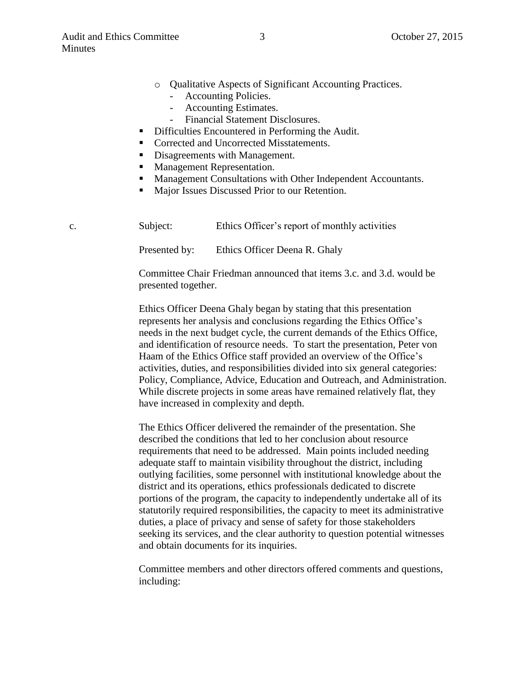- o Qualitative Aspects of Significant Accounting Practices.
	- Accounting Policies.
	- Accounting Estimates.
	- Financial Statement Disclosures.
- Difficulties Encountered in Performing the Audit.
- Corrected and Uncorrected Misstatements.
- Disagreements with Management.
- **Management Representation.**
- **Management Consultations with Other Independent Accountants.**
- Major Issues Discussed Prior to our Retention.

| c. | Subject:      | Ethics Officer's report of monthly activities |  |
|----|---------------|-----------------------------------------------|--|
|    | Presented by: | Ethics Officer Deena R. Ghaly                 |  |

Committee Chair Friedman announced that items 3.c. and 3.d. would be presented together.

Ethics Officer Deena Ghaly began by stating that this presentation represents her analysis and conclusions regarding the Ethics Office's needs in the next budget cycle, the current demands of the Ethics Office, and identification of resource needs. To start the presentation, Peter von Haam of the Ethics Office staff provided an overview of the Office's activities, duties, and responsibilities divided into six general categories: Policy, Compliance, Advice, Education and Outreach, and Administration. While discrete projects in some areas have remained relatively flat, they have increased in complexity and depth.

The Ethics Officer delivered the remainder of the presentation. She described the conditions that led to her conclusion about resource requirements that need to be addressed. Main points included needing adequate staff to maintain visibility throughout the district, including outlying facilities, some personnel with institutional knowledge about the district and its operations, ethics professionals dedicated to discrete portions of the program, the capacity to independently undertake all of its statutorily required responsibilities, the capacity to meet its administrative duties, a place of privacy and sense of safety for those stakeholders seeking its services, and the clear authority to question potential witnesses and obtain documents for its inquiries.

Committee members and other directors offered comments and questions, including: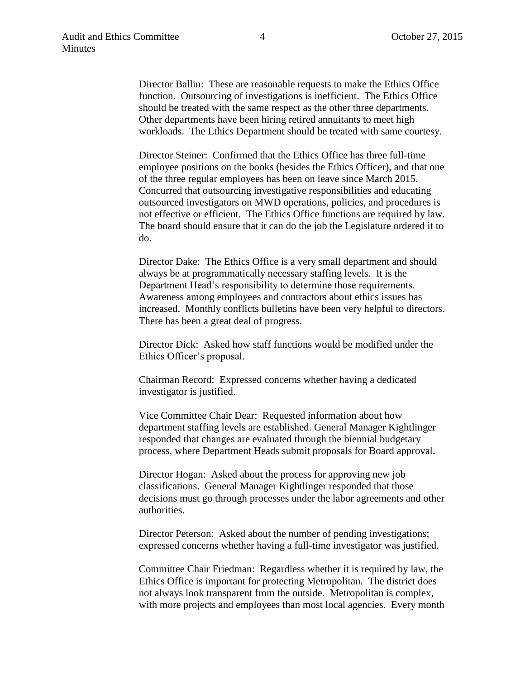Director Ballin: These are reasonable requests to make the Ethics Office function. Outsourcing of investigations is inefficient. The Ethics Office should be treated with the same respect as the other three departments. Other departments have been hiring retired annuitants to meet high workloads. The Ethics Department should be treated with same courtesy.

Director Steiner: Confirmed that the Ethics Office has three full-time employee positions on the books (besides the Ethics Officer), and that one of the three regular employees has been on leave since March 2015. Concurred that outsourcing investigative responsibilities and educating outsourced investigators on MWD operations, policies, and procedures is not effective or efficient. The Ethics Office functions are required by law. The board should ensure that it can do the job the Legislature ordered it to do.

Director Dake: The Ethics Office is a very small department and should always be at programmatically necessary staffing levels. It is the Department Head's responsibility to determine those requirements. Awareness among employees and contractors about ethics issues has increased. Monthly conflicts bulletins have been very helpful to directors. There has been a great deal of progress.

Director Dick: Asked how staff functions would be modified under the Ethics Officer's proposal.

Chairman Record: Expressed concerns whether having a dedicated investigator is justified.

Vice Committee Chair Dear: Requested information about how department staffing levels are established. General Manager Kightlinger responded that changes are evaluated through the biennial budgetary process, where Department Heads submit proposals for Board approval.

Director Hogan: Asked about the process for approving new job classifications. General Manager Kightlinger responded that those decisions must go through processes under the labor agreements and other authorities.

Director Peterson: Asked about the number of pending investigations; expressed concerns whether having a full-time investigator was justified.

Committee Chair Friedman: Regardless whether it is required by law, the Ethics Office is important for protecting Metropolitan. The district does not always look transparent from the outside. Metropolitan is complex, with more projects and employees than most local agencies. Every month